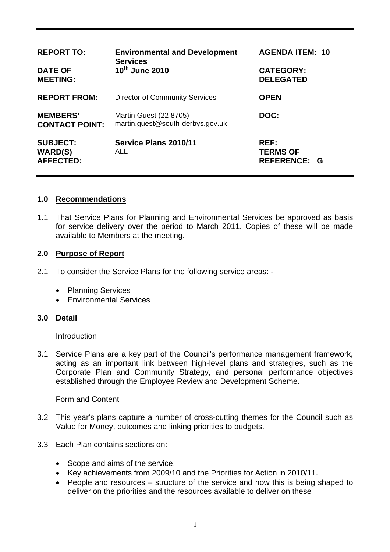| <b>REPORT TO:</b><br><b>DATE OF</b><br><b>MEETING:</b> | <b>Environmental and Development</b><br><b>Services</b><br>10th June 2010 | <b>AGENDA ITEM: 10</b><br><b>CATEGORY:</b><br><b>DELEGATED</b> |
|--------------------------------------------------------|---------------------------------------------------------------------------|----------------------------------------------------------------|
| <b>REPORT FROM:</b>                                    | <b>Director of Community Services</b>                                     | <b>OPEN</b>                                                    |
| <b>MEMBERS'</b><br><b>CONTACT POINT:</b>               | Martin Guest (22 8705)<br>martin.guest@south-derbys.gov.uk                | DOC:                                                           |
| <b>SUBJECT:</b><br><b>WARD(S)</b><br><b>AFFECTED:</b>  | Service Plans 2010/11<br>ALL                                              | <b>REF:</b><br><b>TERMS OF</b><br><b>REFERENCE: G</b>          |

### **1.0 Recommendations**

1.1 That Service Plans for Planning and Environmental Services be approved as basis for service delivery over the period to March 2011. Copies of these will be made available to Members at the meeting.

### **2.0 Purpose of Report**

- 2.1 To consider the Service Plans for the following service areas:
	- Planning Services
	- Environmental Services

### **3.0 Detail**

#### Introduction

3.1 Service Plans are a key part of the Council's performance management framework, acting as an important link between high-level plans and strategies, such as the Corporate Plan and Community Strategy, and personal performance objectives established through the Employee Review and Development Scheme.

#### Form and Content

- 3.2 This year's plans capture a number of cross-cutting themes for the Council such as Value for Money, outcomes and linking priorities to budgets.
- 3.3 Each Plan contains sections on:
	- Scope and aims of the service.
	- Key achievements from 2009/10 and the Priorities for Action in 2010/11.
	- People and resources structure of the service and how this is being shaped to deliver on the priorities and the resources available to deliver on these